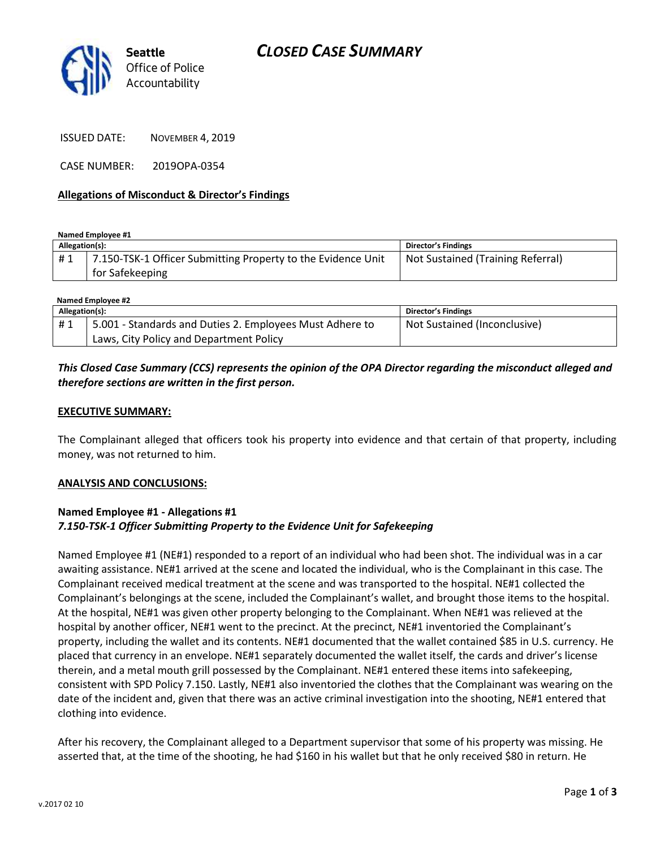

ISSUED DATE: NOVEMBER 4, 2019

CASE NUMBER: 2019OPA-0354

### **Allegations of Misconduct & Director's Findings**

**Named Employee #1**

| Allegation(s): |                                                                                 | Director's Findings               |
|----------------|---------------------------------------------------------------------------------|-----------------------------------|
| #1             | 7.150-TSK-1 Officer Submitting Property to the Evidence Unit<br>for Safekeeping | Not Sustained (Training Referral) |

| Named Employee #2 |                                                          |                              |  |
|-------------------|----------------------------------------------------------|------------------------------|--|
| Allegation(s):    |                                                          | <b>Director's Findings</b>   |  |
| #1                | 5.001 - Standards and Duties 2. Employees Must Adhere to | Not Sustained (Inconclusive) |  |
|                   | Laws, City Policy and Department Policy                  |                              |  |

# *This Closed Case Summary (CCS) represents the opinion of the OPA Director regarding the misconduct alleged and therefore sections are written in the first person.*

### **EXECUTIVE SUMMARY:**

The Complainant alleged that officers took his property into evidence and that certain of that property, including money, was not returned to him.

#### **ANALYSIS AND CONCLUSIONS:**

## **Named Employee #1 - Allegations #1** *7.150-TSK-1 Officer Submitting Property to the Evidence Unit for Safekeeping*

Named Employee #1 (NE#1) responded to a report of an individual who had been shot. The individual was in a car awaiting assistance. NE#1 arrived at the scene and located the individual, who is the Complainant in this case. The Complainant received medical treatment at the scene and was transported to the hospital. NE#1 collected the Complainant's belongings at the scene, included the Complainant's wallet, and brought those items to the hospital. At the hospital, NE#1 was given other property belonging to the Complainant. When NE#1 was relieved at the hospital by another officer, NE#1 went to the precinct. At the precinct, NE#1 inventoried the Complainant's property, including the wallet and its contents. NE#1 documented that the wallet contained \$85 in U.S. currency. He placed that currency in an envelope. NE#1 separately documented the wallet itself, the cards and driver's license therein, and a metal mouth grill possessed by the Complainant. NE#1 entered these items into safekeeping, consistent with SPD Policy 7.150. Lastly, NE#1 also inventoried the clothes that the Complainant was wearing on the date of the incident and, given that there was an active criminal investigation into the shooting, NE#1 entered that clothing into evidence.

After his recovery, the Complainant alleged to a Department supervisor that some of his property was missing. He asserted that, at the time of the shooting, he had \$160 in his wallet but that he only received \$80 in return. He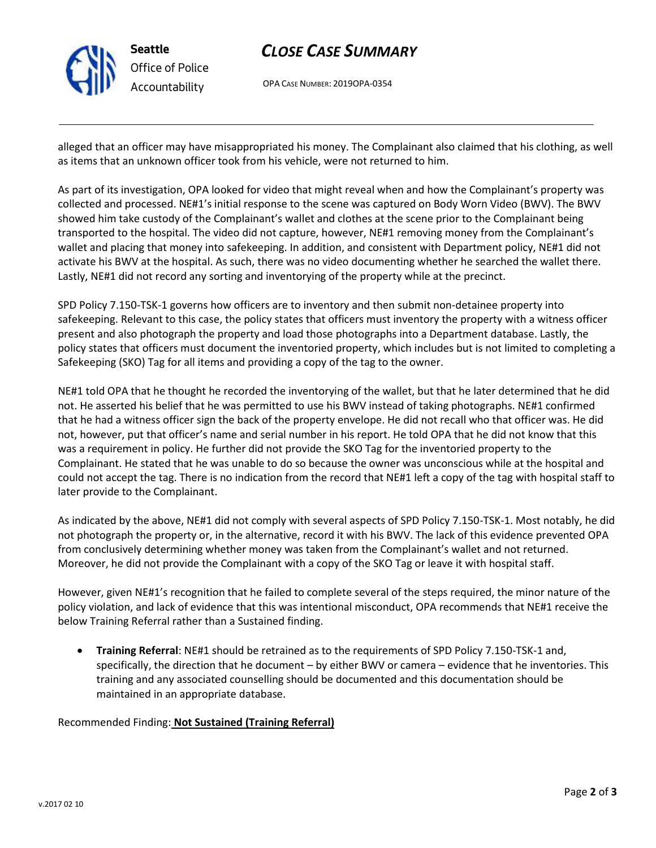

# *CLOSE CASE SUMMARY*

OPA CASE NUMBER: 2019OPA-0354

alleged that an officer may have misappropriated his money. The Complainant also claimed that his clothing, as well as items that an unknown officer took from his vehicle, were not returned to him.

As part of its investigation, OPA looked for video that might reveal when and how the Complainant's property was collected and processed. NE#1's initial response to the scene was captured on Body Worn Video (BWV). The BWV showed him take custody of the Complainant's wallet and clothes at the scene prior to the Complainant being transported to the hospital. The video did not capture, however, NE#1 removing money from the Complainant's wallet and placing that money into safekeeping. In addition, and consistent with Department policy, NE#1 did not activate his BWV at the hospital. As such, there was no video documenting whether he searched the wallet there. Lastly, NE#1 did not record any sorting and inventorying of the property while at the precinct.

SPD Policy 7.150-TSK-1 governs how officers are to inventory and then submit non-detainee property into safekeeping. Relevant to this case, the policy states that officers must inventory the property with a witness officer present and also photograph the property and load those photographs into a Department database. Lastly, the policy states that officers must document the inventoried property, which includes but is not limited to completing a Safekeeping (SKO) Tag for all items and providing a copy of the tag to the owner.

NE#1 told OPA that he thought he recorded the inventorying of the wallet, but that he later determined that he did not. He asserted his belief that he was permitted to use his BWV instead of taking photographs. NE#1 confirmed that he had a witness officer sign the back of the property envelope. He did not recall who that officer was. He did not, however, put that officer's name and serial number in his report. He told OPA that he did not know that this was a requirement in policy. He further did not provide the SKO Tag for the inventoried property to the Complainant. He stated that he was unable to do so because the owner was unconscious while at the hospital and could not accept the tag. There is no indication from the record that NE#1 left a copy of the tag with hospital staff to later provide to the Complainant.

As indicated by the above, NE#1 did not comply with several aspects of SPD Policy 7.150-TSK-1. Most notably, he did not photograph the property or, in the alternative, record it with his BWV. The lack of this evidence prevented OPA from conclusively determining whether money was taken from the Complainant's wallet and not returned. Moreover, he did not provide the Complainant with a copy of the SKO Tag or leave it with hospital staff.

However, given NE#1's recognition that he failed to complete several of the steps required, the minor nature of the policy violation, and lack of evidence that this was intentional misconduct, OPA recommends that NE#1 receive the below Training Referral rather than a Sustained finding.

• **Training Referral**: NE#1 should be retrained as to the requirements of SPD Policy 7.150-TSK-1 and, specifically, the direction that he document – by either BWV or camera – evidence that he inventories. This training and any associated counselling should be documented and this documentation should be maintained in an appropriate database.

Recommended Finding: **Not Sustained (Training Referral)**